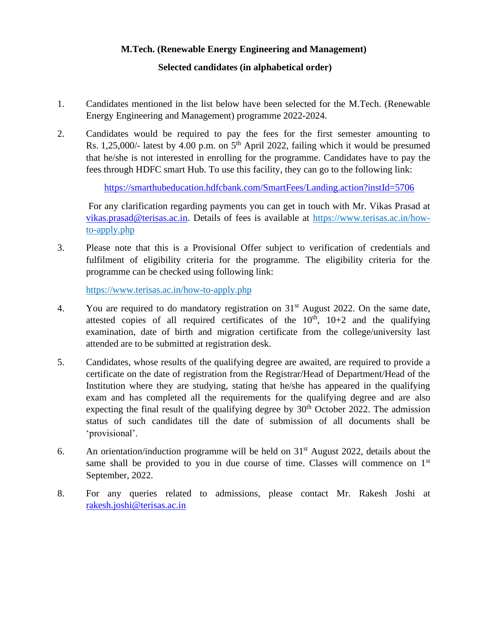## **M.Tech. (Renewable Energy Engineering and Management)**

## **Selected candidates (in alphabetical order)**

- 1. Candidates mentioned in the list below have been selected for the M.Tech. (Renewable Energy Engineering and Management) programme 2022-2024.
- 2. Candidates would be required to pay the fees for the first semester amounting to Rs.  $1,25,000/$ - latest by  $4.00$  p.m. on  $5<sup>th</sup>$  April 2022, failing which it would be presumed that he/she is not interested in enrolling for the programme. Candidates have to pay the fees through HDFC smart Hub. To use this facility, they can go to the following link:

<https://smarthubeducation.hdfcbank.com/SmartFees/Landing.action?instId=5706>

For any clarification regarding payments you can get in touch with Mr. Vikas Prasad at [vikas.prasad@terisas.ac.in.](mailto:vikas.prasad@terisas.ac.in) Details of fees is available at https://www.terisas.ac.in/howto-apply.php

3. Please note that this is a Provisional Offer subject to verification of credentials and fulfilment of eligibility criteria for the programme. The eligibility criteria for the programme can be checked using following link:

https://www.terisas.ac.in/how-to-apply.php

- 4. You are required to do mandatory registration on 31<sup>st</sup> August 2022. On the same date, attested copies of all required certificates of the  $10<sup>th</sup>$ ,  $10+2$  and the qualifying examination, date of birth and migration certificate from the college/university last attended are to be submitted at registration desk.
- 5. Candidates, whose results of the qualifying degree are awaited, are required to provide a certificate on the date of registration from the Registrar/Head of Department/Head of the Institution where they are studying, stating that he/she has appeared in the qualifying exam and has completed all the requirements for the qualifying degree and are also expecting the final result of the qualifying degree by  $30<sup>th</sup>$  October 2022. The admission status of such candidates till the date of submission of all documents shall be 'provisional'.
- 6. An orientation/induction programme will be held on  $31<sup>st</sup>$  August 2022, details about the same shall be provided to you in due course of time. Classes will commence on  $1<sup>st</sup>$ September, 2022.
- 8. For any queries related to admissions, please contact Mr. Rakesh Joshi at [rakesh.joshi@terisas.ac.in](mailto:rakesh.joshi@terisas.ac.in)